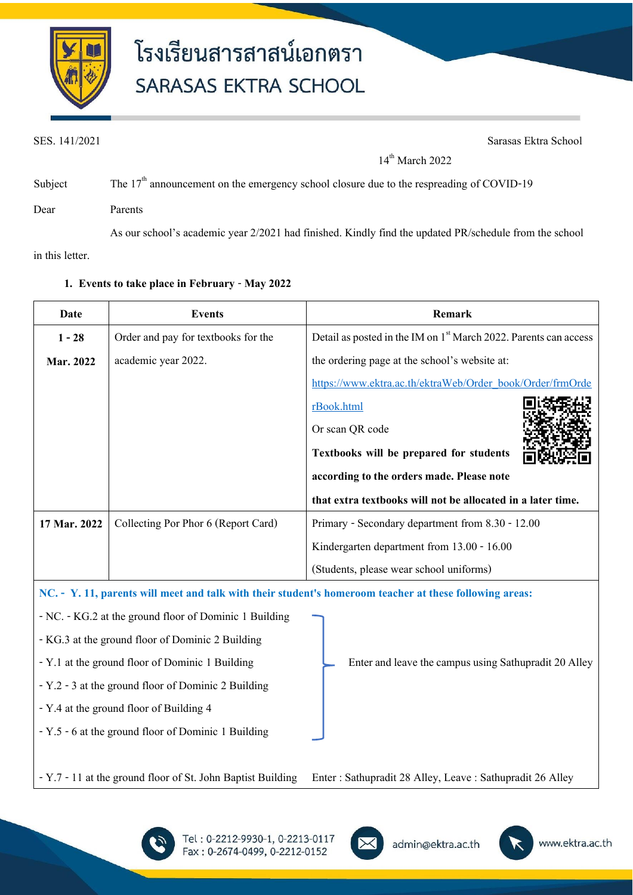

SES. 141/2021 Sarasas Ektra School

 $14^{\text{th}}$  March 2022

| Subject | The $17th$ announcement on the emergency school closure due to the respreading of COVID-19             |
|---------|--------------------------------------------------------------------------------------------------------|
| Dear    | <b>Parents</b>                                                                                         |
|         | As our school's academic year 2/2021 had finished. Kindly find the updated PR/schedule from the school |

in this letter.

### **Date Events Remark 1 -28 Mar. 2022**  Order and pay for textbooks for the academic year 2022. Detail as posted in the IM on  $1<sup>st</sup>$  March 2022. Parents can access the ordering page at the school's website at: [https://www.ektra.ac.th/ektraWeb/Order\\_book/Order/frmOrde](https://www.ektra.ac.th/ektraWeb/Order_book/Order/frmOrderBook.html) [rBook.html](https://www.ektra.ac.th/ektraWeb/Order_book/Order/frmOrderBook.html) Or scan QR code **Textbooks will be prepared for students according to the orders made. Please note that extra textbooks will not be allocated in a later time. 17 Mar. 2022** Collecting Por Phor 6 (Report Card) Primary - Secondary department from 8.30 - 12.00 Kindergarten department from 13.00 - 16.00 (Students, please wear school uniforms) **NC. - Y. 11, parents will meet and talk with their student's homeroom teacher at these following areas:** - NC. - KG.2 at the ground floor of Dominic 1 Building - KG.3 at the ground floor of Dominic 2 Building - Y.1 at the ground floor of Dominic 1 Building - Y.2 -3 at the ground floor of Dominic 2 Building - Y.4 at the ground floor of Building 4 - Y.5 -6 at the ground floor of Dominic 1 Building - Y.7 -11 at the ground floor of St. John Baptist Building Enter and leave the campus using Sathupradit20 Alley Enter : Sathupradit 28 Alley, Leave : Sathupradit 26 Alley

### **1. Events to take place in February** - **May 2022**





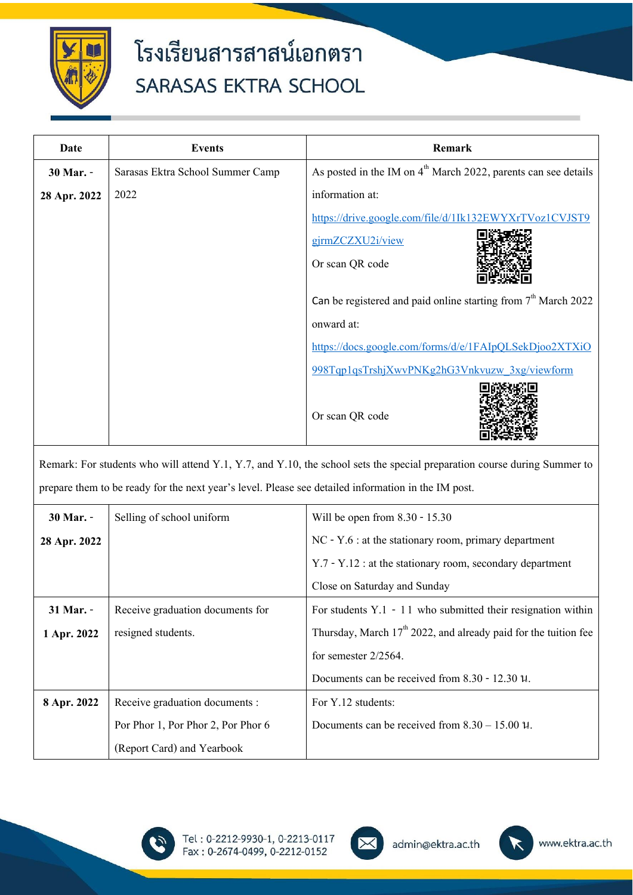

| Date                                                                                                                     | <b>Events</b>                    | Remark                                                           |  |  |
|--------------------------------------------------------------------------------------------------------------------------|----------------------------------|------------------------------------------------------------------|--|--|
| 30 Mar. -                                                                                                                | Sarasas Ektra School Summer Camp | As posted in the IM on $4th$ March 2022, parents can see details |  |  |
| 28 Apr. 2022                                                                                                             | 2022                             | information at:                                                  |  |  |
|                                                                                                                          |                                  | https://drive.google.com/file/d/1Ik132EWYXrTVoz1CVJST9           |  |  |
|                                                                                                                          |                                  | gjrmZCZXU2i/view                                                 |  |  |
|                                                                                                                          |                                  | Or scan QR code                                                  |  |  |
|                                                                                                                          |                                  | Can be registered and paid online starting from $7th$ March 2022 |  |  |
|                                                                                                                          |                                  | onward at:                                                       |  |  |
|                                                                                                                          |                                  | https://docs.google.com/forms/d/e/1FAIpQLSekDjoo2XTXiO           |  |  |
|                                                                                                                          |                                  | 998Tqp1qsTrshjXwvPNKg2hG3Vnkvuzw 3xg/viewform                    |  |  |
|                                                                                                                          |                                  | Or scan QR code                                                  |  |  |
| Remark: For students who will attend Y.1, Y.7, and Y.10, the school sets the special preparation course during Summer to |                                  |                                                                  |  |  |
| prepare them to be ready for the next year's level. Please see detailed information in the IM post.                      |                                  |                                                                  |  |  |

| 30 Mar. -    | Selling of school uniform          | Will be open from $8.30 - 15.30$                                   |
|--------------|------------------------------------|--------------------------------------------------------------------|
| 28 Apr. 2022 |                                    | $NC - Y.6$ : at the stationary room, primary department            |
|              |                                    | $Y.7 - Y.12$ : at the stationary room, secondary department        |
|              |                                    | Close on Saturday and Sunday                                       |
| 31 Mar. -    | Receive graduation documents for   | For students $Y.1 - 11$ who submitted their resignation within     |
| 1 Apr. 2022  | resigned students.                 | Thursday, March $17th 2022$ , and already paid for the tuition fee |
|              |                                    | for semester $2/2564$ .                                            |
|              |                                    | Documents can be received from $8.30 - 12.30$ $\mu$ .              |
| 8 Apr. 2022  | Receive graduation documents :     | For Y.12 students:                                                 |
|              | Por Phor 1, Por Phor 2, Por Phor 6 | Documents can be received from $8.30 - 15.00$ $\mu$ .              |
|              | (Report Card) and Yearbook         |                                                                    |





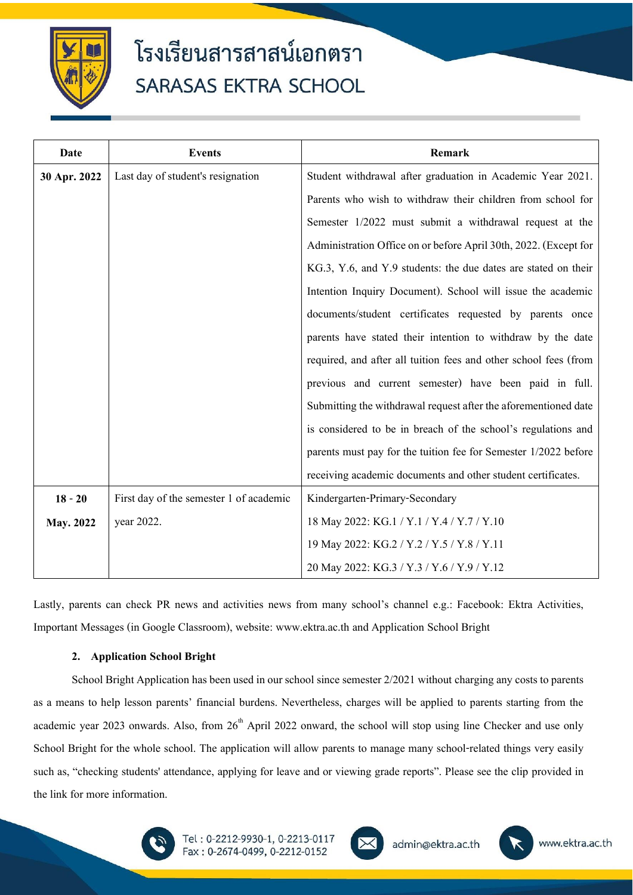

| Date         | <b>Events</b>                           | Remark                                                           |
|--------------|-----------------------------------------|------------------------------------------------------------------|
| 30 Apr. 2022 | Last day of student's resignation       | Student withdrawal after graduation in Academic Year 2021.       |
|              |                                         | Parents who wish to withdraw their children from school for      |
|              |                                         | Semester 1/2022 must submit a withdrawal request at the          |
|              |                                         | Administration Office on or before April 30th, 2022. (Except for |
|              |                                         | KG.3, Y.6, and Y.9 students: the due dates are stated on their   |
|              |                                         | Intention Inquiry Document). School will issue the academic      |
|              |                                         | documents/student certificates requested by parents once         |
|              |                                         | parents have stated their intention to withdraw by the date      |
|              |                                         | required, and after all tuition fees and other school fees (from |
|              |                                         | previous and current semester) have been paid in full.           |
|              |                                         | Submitting the withdrawal request after the aforementioned date  |
|              |                                         | is considered to be in breach of the school's regulations and    |
|              |                                         | parents must pay for the tuition fee for Semester 1/2022 before  |
|              |                                         | receiving academic documents and other student certificates.     |
| $18 - 20$    | First day of the semester 1 of academic | Kindergarten-Primary-Secondary                                   |
| May. 2022    | year 2022.                              | 18 May 2022: KG.1 / Y.1 / Y.4 / Y.7 / Y.10                       |
|              |                                         | 19 May 2022: KG.2 / Y.2 / Y.5 / Y.8 / Y.11                       |
|              |                                         | 20 May 2022: KG.3 / Y.3 / Y.6 / Y.9 / Y.12                       |

Lastly, parents can check PR news and activities news from many school's channel e.g.: Facebook: Ektra Activities, Important Messages (in Google Classroom), website: www.ektra.ac.th and Application School Bright

#### **2. Application School Bright**

School Bright Application has been used in our school since semester 2/2021 without charging any costs to parents as a means to help lesson parents' financial burdens. Nevertheless, charges will be applied to parents starting from the academic year 2023 onwards. Also, from  $26<sup>th</sup>$  April 2022 onward, the school will stop using line Checker and use only School Bright for the whole school. The application will allow parents to manage many school-related things very easily such as, "checking students' attendance, applying for leave and or viewing grade reports". Please see the clip provided in the link for more information.





admin@ektra.ac.th